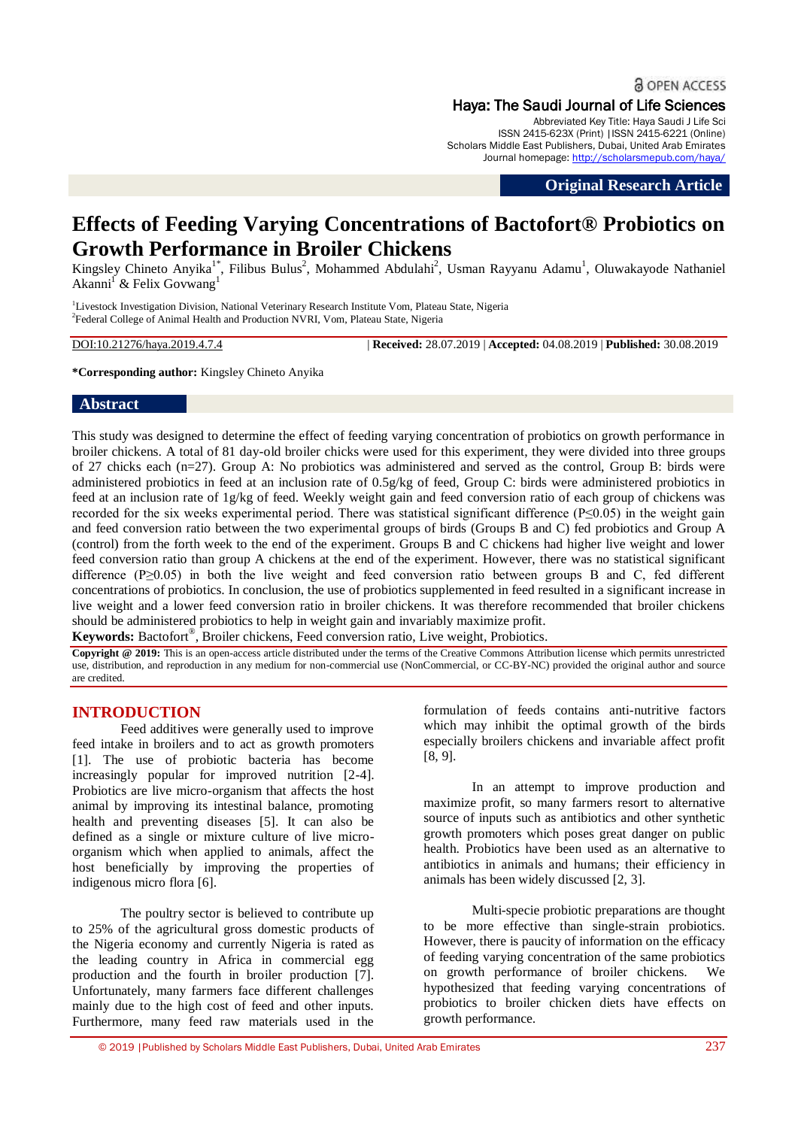**& OPEN ACCESS** 

#### Haya: The Saudi Journal of Life Sciences

Abbreviated Key Title: Haya Saudi J Life Sci ISSN 2415-623X (Print) |ISSN 2415-6221 (Online) Scholars Middle East Publishers, Dubai, United Arab Emirates Journal homepage: <http://scholarsmepub.com/haya/>

**Original Research Article**

# **Effects of Feeding Varying Concentrations of Bactofort® Probiotics on Growth Performance in Broiler Chickens**

Kingsley Chineto Anyika<sup>1\*</sup>, Filibus Bulus<sup>2</sup>, Mohammed Abdulahi<sup>2</sup>, Usman Rayyanu Adamu<sup>1</sup>, Oluwakayode Nathaniel Akanni<sup>1</sup> & Felix Govwang<sup>1</sup>

<sup>1</sup>Livestock Investigation Division, National Veterinary Research Institute Vom, Plateau State, Nigeria <sup>2</sup> Federal College of Animal Health and Production NVRI, Vom, Plateau State, Nigeria

DOI:10.21276/haya.2019.4.7.4 | **Received:** 28.07.2019 | **Accepted:** 04.08.2019 | **Published:** 30.08.2019

**\*Corresponding author:** Kingsley Chineto Anyika

## **Abstract**

This study was designed to determine the effect of feeding varying concentration of probiotics on growth performance in broiler chickens. A total of 81 day-old broiler chicks were used for this experiment, they were divided into three groups of 27 chicks each (n=27). Group A: No probiotics was administered and served as the control, Group B: birds were administered probiotics in feed at an inclusion rate of 0.5g/kg of feed, Group C: birds were administered probiotics in feed at an inclusion rate of 1g/kg of feed. Weekly weight gain and feed conversion ratio of each group of chickens was recorded for the six weeks experimental period. There was statistical significant difference (P≤0.05) in the weight gain and feed conversion ratio between the two experimental groups of birds (Groups B and C) fed probiotics and Group A (control) from the forth week to the end of the experiment. Groups B and C chickens had higher live weight and lower feed conversion ratio than group A chickens at the end of the experiment. However, there was no statistical significant difference (P≥0.05) in both the live weight and feed conversion ratio between groups B and C, fed different concentrations of probiotics. In conclusion, the use of probiotics supplemented in feed resulted in a significant increase in live weight and a lower feed conversion ratio in broiler chickens. It was therefore recommended that broiler chickens should be administered probiotics to help in weight gain and invariably maximize profit.

**Keywords:** Bactofort® , Broiler chickens, Feed conversion ratio, Live weight, Probiotics.

**Copyright @ 2019:** This is an open-access article distributed under the terms of the Creative Commons Attribution license which permits unrestricted use, distribution, and reproduction in any medium for non-commercial use (NonCommercial, or CC-BY-NC) provided the original author and source are credited.

# **INTRODUCTION**

Feed additives were generally used to improve feed intake in broilers and to act as growth promoters [1]. The use of probiotic bacteria has become increasingly popular for improved nutrition [2-4]. Probiotics are live micro-organism that affects the host animal by improving its intestinal balance, promoting health and preventing diseases [5]. It can also be defined as a single or mixture culture of live microorganism which when applied to animals, affect the host beneficially by improving the properties of indigenous micro flora [6].

The poultry sector is believed to contribute up to 25% of the agricultural gross domestic products of the Nigeria economy and currently Nigeria is rated as the leading country in Africa in commercial egg production and the fourth in broiler production [7]. Unfortunately, many farmers face different challenges mainly due to the high cost of feed and other inputs. Furthermore, many feed raw materials used in the

formulation of feeds contains anti-nutritive factors which may inhibit the optimal growth of the birds especially broilers chickens and invariable affect profit [8, 9].

In an attempt to improve production and maximize profit, so many farmers resort to alternative source of inputs such as antibiotics and other synthetic growth promoters which poses great danger on public health. Probiotics have been used as an alternative to antibiotics in animals and humans; their efficiency in animals has been widely discussed [2, 3].

Multi-specie probiotic preparations are thought to be more effective than single-strain probiotics. However, there is paucity of information on the efficacy of feeding varying concentration of the same probiotics on growth performance of broiler chickens. We hypothesized that feeding varying concentrations of probiotics to broiler chicken diets have effects on growth performance.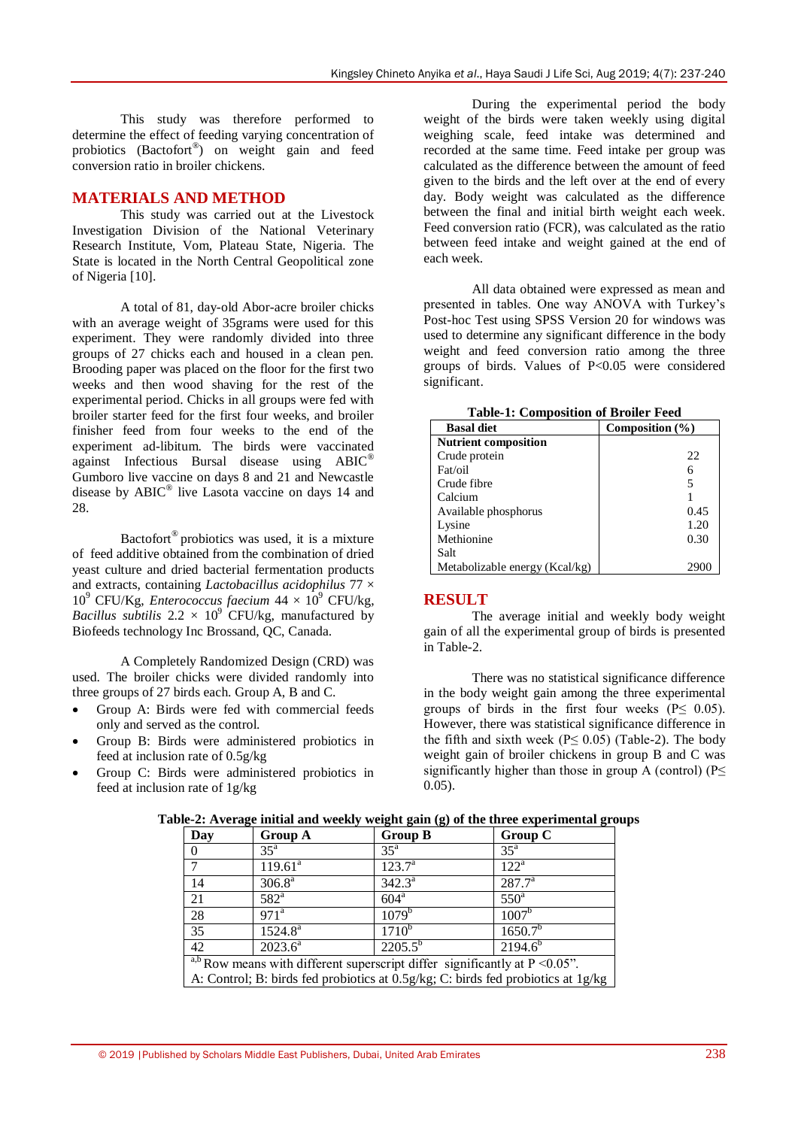This study was therefore performed to determine the effect of feeding varying concentration of probiotics (Bactofort® ) on weight gain and feed conversion ratio in broiler chickens.

### **MATERIALS AND METHOD**

This study was carried out at the Livestock Investigation Division of the National Veterinary Research Institute, Vom, Plateau State, Nigeria. The State is located in the North Central Geopolitical zone of Nigeria [10].

A total of 81, day-old Abor-acre broiler chicks with an average weight of 35grams were used for this experiment. They were randomly divided into three groups of 27 chicks each and housed in a clean pen. Brooding paper was placed on the floor for the first two weeks and then wood shaving for the rest of the experimental period. Chicks in all groups were fed with broiler starter feed for the first four weeks, and broiler finisher feed from four weeks to the end of the experiment ad-libitum. The birds were vaccinated against Infectious Bursal disease using ABIC® Gumboro live vaccine on days 8 and 21 and Newcastle disease by ABIC® live Lasota vaccine on days 14 and 28.

Bactofort® probiotics was used, it is a mixture of feed additive obtained from the combination of dried yeast culture and dried bacterial fermentation products and extracts, containing *Lactobacillus acidophilus* 77 ×  $10^9$  CFU/Kg, *Enterococcus faecium*  $44 \times 10^9$  CFU/kg, *Bacillus subtilis*  $2.2 \times 10^9$  CFU/kg, manufactured by Biofeeds technology Inc Brossand, QC, Canada.

A Completely Randomized Design (CRD) was used. The broiler chicks were divided randomly into three groups of 27 birds each. Group A, B and C.

- Group A: Birds were fed with commercial feeds only and served as the control.
- Group B: Birds were administered probiotics in feed at inclusion rate of 0.5g/kg
- Group C: Birds were administered probiotics in feed at inclusion rate of 1g/kg

During the experimental period the body weight of the birds were taken weekly using digital weighing scale, feed intake was determined and recorded at the same time. Feed intake per group was calculated as the difference between the amount of feed given to the birds and the left over at the end of every day. Body weight was calculated as the difference between the final and initial birth weight each week. Feed conversion ratio (FCR), was calculated as the ratio between feed intake and weight gained at the end of each week.

All data obtained were expressed as mean and presented in tables. One way ANOVA with Turkey's Post-hoc Test using SPSS Version 20 for windows was used to determine any significant difference in the body weight and feed conversion ratio among the three groups of birds. Values of P<0.05 were considered significant.

**Table-1: Composition of Broiler Feed**

| <b>Basal diet</b>              | Composition $(\% )$ |  |
|--------------------------------|---------------------|--|
| <b>Nutrient composition</b>    |                     |  |
| Crude protein                  | 22                  |  |
| Fat/oil                        |                     |  |
| Crude fibre                    |                     |  |
| Calcium                        |                     |  |
| Available phosphorus           | 0.45                |  |
| Lysine                         | 1.20                |  |
| Methionine                     | 0.30                |  |
| Salt                           |                     |  |
| Metabolizable energy (Kcal/kg) | 290                 |  |

### **RESULT**

The average initial and weekly body weight gain of all the experimental group of birds is presented in Table-2.

There was no statistical significance difference in the body weight gain among the three experimental groups of birds in the first four weeks ( $P \leq 0.05$ ). However, there was statistical significance difference in the fifth and sixth week ( $P \leq 0.05$ ) (Table-2). The body weight gain of broiler chickens in group B and C was significantly higher than those in group A (control) ( $P \leq$ 0.05).

| Day                                                                                       | <b>Group A</b>                     | <b>Group B</b>   | $\circ$<br>Group C  |  |
|-------------------------------------------------------------------------------------------|------------------------------------|------------------|---------------------|--|
| $\Omega$                                                                                  | $35^{\rm a}$                       | $35^{\circ}$     | $35^{\mathrm{a}}$   |  |
|                                                                                           | $119.61^a$                         | $123.7^{\rm a}$  | $122^{\rm a}$       |  |
| 14                                                                                        | $306.8^{a}$                        | $342.3^{a}$      | $287.7^{a}$         |  |
| 21                                                                                        | $\overline{582}^a$                 | 604 <sup>a</sup> | $550^{\circ}$       |  |
| 28                                                                                        | 971 <sup>a</sup>                   | $1079^b$         | $1007^{\rm b}$      |  |
| $\overline{35}$                                                                           | $1524.8^a$                         | $1710^{b}$       | 1650.7 <sup>b</sup> |  |
| $\overline{42}$                                                                           | $2023.\overline{6}^{\overline{a}}$ | $2205.5^{b}$     | $2194.6^{b}$        |  |
| $\frac{a,b}{a,b}$ Row means with different superscript differ significantly at P < 0.05". |                                    |                  |                     |  |
| A: Control; B: birds fed probiotics at 0.5g/kg; C: birds fed probiotics at 1g/kg          |                                    |                  |                     |  |

#### **Table-2: Average initial and weekly weight gain (g) of the three experimental groups**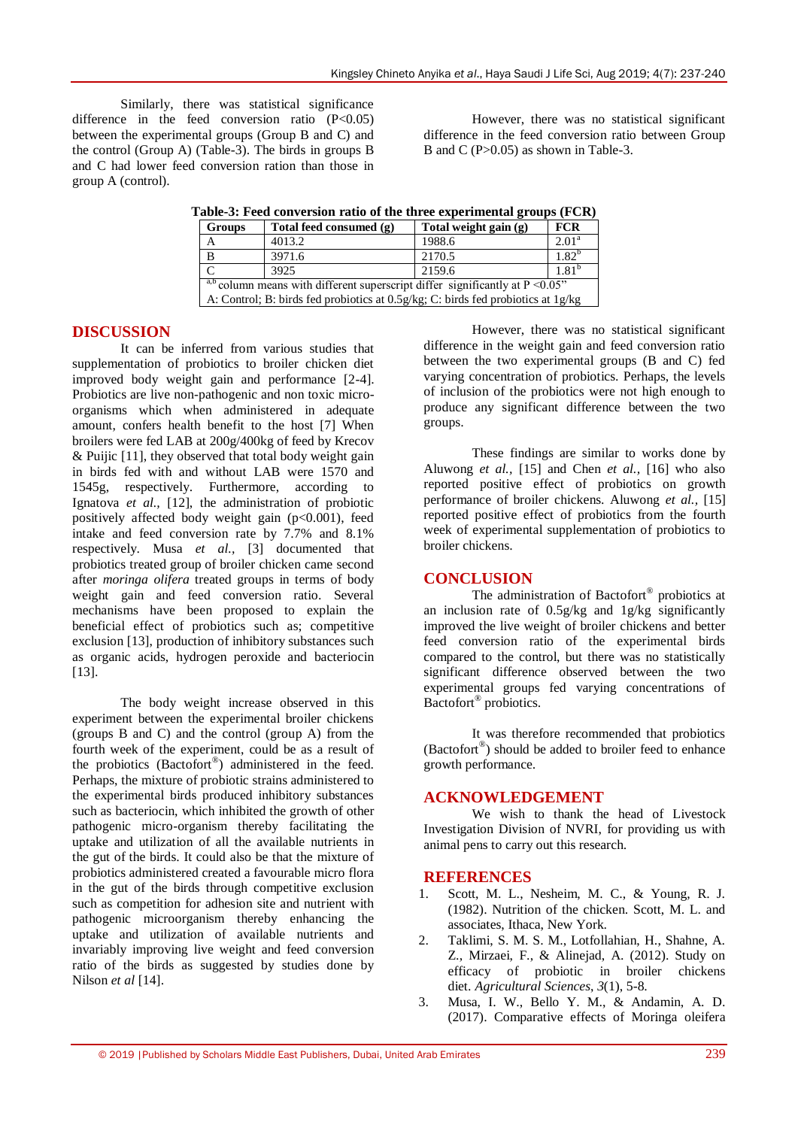Similarly, there was statistical significance difference in the feed conversion ratio  $(P<0.05)$ between the experimental groups (Group B and C) and the control (Group A) (Table-3). The birds in groups B and C had lower feed conversion ration than those in group A (control).

However, there was no statistical significant difference in the feed conversion ratio between Group B and C (P>0.05) as shown in Table-3.

|  |  |  | Table-3: Feed conversion ratio of the three experimental groups (FCR) |  |  |
|--|--|--|-----------------------------------------------------------------------|--|--|
|  |  |  |                                                                       |  |  |

| <b>Groups</b>                                                                             | Total feed consumed (g) | Total weight gain (g) | <b>FCR</b>          |  |
|-------------------------------------------------------------------------------------------|-------------------------|-----------------------|---------------------|--|
|                                                                                           | 4013.2                  | 1988.6                | 2.01 <sup>a</sup>   |  |
| B                                                                                         | 3971.6                  | 2170.5                | $1.82^{b}$          |  |
|                                                                                           | 3925                    | 2159.6                | $1.81$ <sup>r</sup> |  |
| $\frac{a,b}{a}$ column means with different superscript differ significantly at P < 0.05" |                         |                       |                     |  |
| A: Control; B: birds fed probiotics at 0.5g/kg; C: birds fed probiotics at 1g/kg          |                         |                       |                     |  |

# **DISCUSSION**

It can be inferred from various studies that supplementation of probiotics to broiler chicken diet improved body weight gain and performance [2-4]. Probiotics are live non-pathogenic and non toxic microorganisms which when administered in adequate amount, confers health benefit to the host [7] When broilers were fed LAB at 200g/400kg of feed by Krecov  $&$  Puijic [11], they observed that total body weight gain in birds fed with and without LAB were 1570 and 1545g, respectively. Furthermore, according to Ignatova *et al.,* [12], the administration of probiotic positively affected body weight gain  $(p<0.001)$ , feed intake and feed conversion rate by 7.7% and 8.1% respectively. Musa *et al.,* [3] documented that probiotics treated group of broiler chicken came second after *moringa olifera* treated groups in terms of body weight gain and feed conversion ratio. Several mechanisms have been proposed to explain the beneficial effect of probiotics such as; competitive exclusion [13], production of inhibitory substances such as organic acids, hydrogen peroxide and bacteriocin [13].

The body weight increase observed in this experiment between the experimental broiler chickens (groups B and C) and the control (group A) from the fourth week of the experiment, could be as a result of the probiotics (Bactofort® ) administered in the feed. Perhaps, the mixture of probiotic strains administered to the experimental birds produced inhibitory substances such as bacteriocin, which inhibited the growth of other pathogenic micro-organism thereby facilitating the uptake and utilization of all the available nutrients in the gut of the birds. It could also be that the mixture of probiotics administered created a favourable micro flora in the gut of the birds through competitive exclusion such as competition for adhesion site and nutrient with pathogenic microorganism thereby enhancing the uptake and utilization of available nutrients and invariably improving live weight and feed conversion ratio of the birds as suggested by studies done by Nilson *et al* [14].

However, there was no statistical significant difference in the weight gain and feed conversion ratio between the two experimental groups (B and C) fed varying concentration of probiotics. Perhaps, the levels of inclusion of the probiotics were not high enough to produce any significant difference between the two groups.

These findings are similar to works done by Aluwong *et al.,* [15] and Chen *et al.,* [16] who also reported positive effect of probiotics on growth performance of broiler chickens. Aluwong *et al.,* [15] reported positive effect of probiotics from the fourth week of experimental supplementation of probiotics to broiler chickens.

# **CONCLUSION**

The administration of Bactofort® probiotics at an inclusion rate of 0.5g/kg and 1g/kg significantly improved the live weight of broiler chickens and better feed conversion ratio of the experimental birds compared to the control, but there was no statistically significant difference observed between the two experimental groups fed varying concentrations of Bactofort® probiotics.

It was therefore recommended that probiotics (Bactofort® ) should be added to broiler feed to enhance growth performance.

#### **ACKNOWLEDGEMENT**

We wish to thank the head of Livestock Investigation Division of NVRI, for providing us with animal pens to carry out this research.

#### **REFERENCES**

- 1. Scott, M. L., Nesheim, M. C., & Young, R. J. (1982). Nutrition of the chicken. Scott, M. L. and associates, Ithaca, New York.
- 2. Taklimi, S. M. S. M., Lotfollahian, H., Shahne, A. Z., Mirzaei, F., & Alinejad, A. (2012). Study on efficacy of probiotic in broiler chickens diet. *Agricultural Sciences*, *3*(1), 5-8.
- 3. Musa, I. W., Bello Y. M., & Andamin, A. D. (2017). Comparative effects of Moringa oleifera